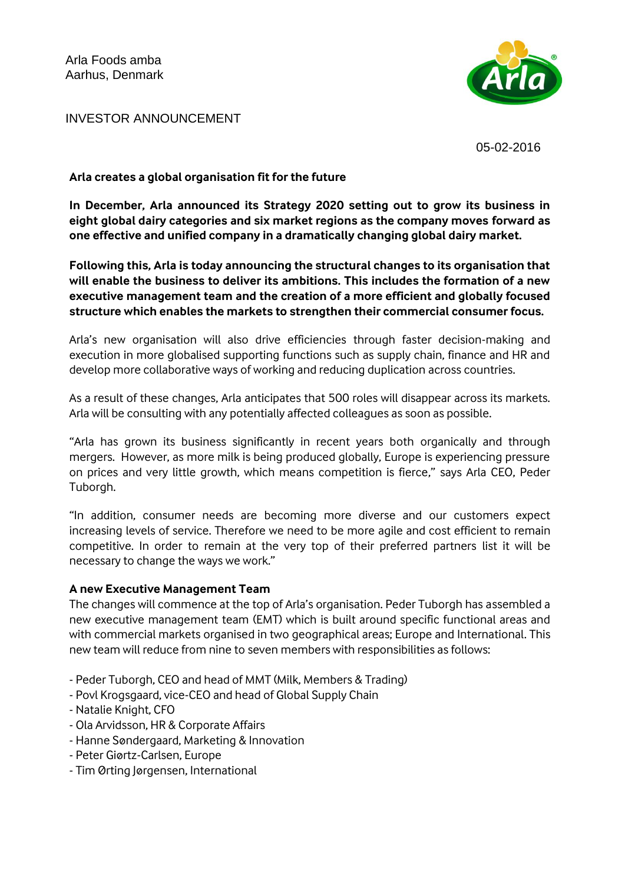

INVESTOR ANNOUNCEMENT

05-02-2016

#### **Arla creates a global organisation fit for the future**

**In December, Arla announced its Strategy 2020 setting out to grow its business in eight global dairy categories and six market regions as the company moves forward as one effective and unified company in a dramatically changing global dairy market.** 

**Following this, Arla is today announcing the structural changes to its organisation that will enable the business to deliver its ambitions. This includes the formation of a new executive management team and the creation of a more efficient and globally focused structure which enables the markets to strengthen their commercial consumer focus.**

Arla's new organisation will also drive efficiencies through faster decision-making and execution in more globalised supporting functions such as supply chain, finance and HR and develop more collaborative ways of working and reducing duplication across countries.

As a result of these changes, Arla anticipates that 500 roles will disappear across its markets. Arla will be consulting with any potentially affected colleagues as soon as possible.

"Arla has grown its business significantly in recent years both organically and through mergers. However, as more milk is being produced globally, Europe is experiencing pressure on prices and very little growth, which means competition is fierce," says Arla CEO, Peder Tuborgh.

"In addition, consumer needs are becoming more diverse and our customers expect increasing levels of service. Therefore we need to be more agile and cost efficient to remain competitive. In order to remain at the very top of their preferred partners list it will be necessary to change the ways we work."

#### **A new Executive Management Team**

The changes will commence at the top of Arla's organisation. Peder Tuborgh has assembled a new executive management team (EMT) which is built around specific functional areas and with commercial markets organised in two geographical areas; Europe and International. This new team will reduce from nine to seven members with responsibilities as follows:

- Peder Tuborgh, CEO and head of MMT (Milk, Members & Trading)
- Povl Krogsgaard, vice-CEO and head of Global Supply Chain
- Natalie Knight, CFO
- Ola Arvidsson, HR & Corporate Affairs
- Hanne Søndergaard, Marketing & Innovation
- Peter Giørtz-Carlsen, Europe
- Tim Ørting Jørgensen, International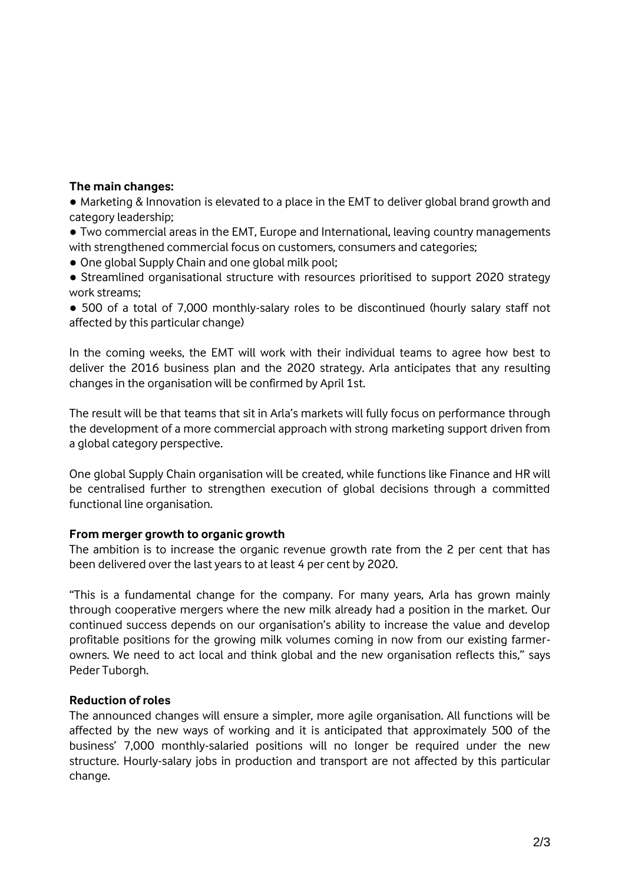#### **The main changes:**

**●** Marketing & Innovation is elevated to a place in the EMT to deliver global brand growth and category leadership;

**●** Two commercial areas in the EMT, Europe and International, leaving country managements with strengthened commercial focus on customers, consumers and categories;

- One global Supply Chain and one global milk pool;
- Streamlined organisational structure with resources prioritised to support 2020 strategy work streams;

**●** 500 of a total of 7,000 monthly-salary roles to be discontinued (hourly salary staff not affected by this particular change)

In the coming weeks, the EMT will work with their individual teams to agree how best to deliver the 2016 business plan and the 2020 strategy. Arla anticipates that any resulting changes in the organisation will be confirmed by April 1st.

The result will be that teams that sit in Arla's markets will fully focus on performance through the development of a more commercial approach with strong marketing support driven from a global category perspective.

One global Supply Chain organisation will be created, while functions like Finance and HR will be centralised further to strengthen execution of global decisions through a committed functional line organisation.

# **From merger growth to organic growth**

The ambition is to increase the organic revenue growth rate from the 2 per cent that has been delivered over the last years to at least 4 per cent by 2020.

"This is a fundamental change for the company. For many years, Arla has grown mainly through cooperative mergers where the new milk already had a position in the market. Our continued success depends on our organisation's ability to increase the value and develop profitable positions for the growing milk volumes coming in now from our existing farmerowners. We need to act local and think global and the new organisation reflects this," says Peder Tuborgh.

# **Reduction of roles**

The announced changes will ensure a simpler, more agile organisation. All functions will be affected by the new ways of working and it is anticipated that approximately 500 of the business' 7,000 monthly-salaried positions will no longer be required under the new structure. Hourly-salary jobs in production and transport are not affected by this particular change.